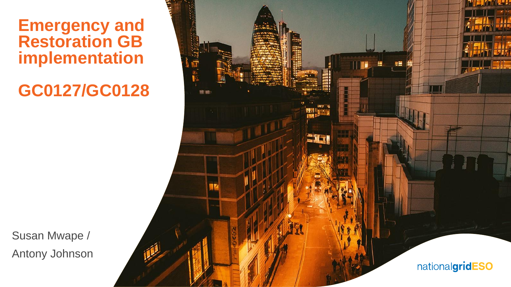**Emergency and Restoration GB implementation**

**GC0127/GC0128**

Susan Mwape / Antony Johnson

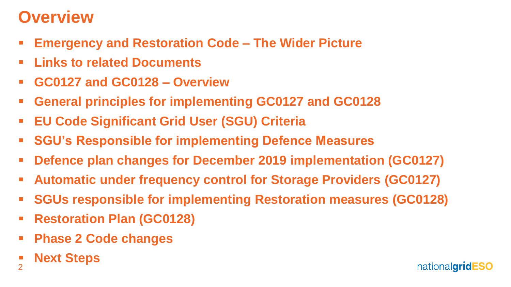# **Overview**

- **Emergency and Restoration Code – The Wider Picture**
- **Links to related Documents**
- **GC0127 and GC0128 – Overview**
- **General principles for implementing GC0127 and GC0128**
- **EU Code Significant Grid User (SGU) Criteria**
- **SGU's Responsible for implementing Defence Measures**
- **Defence plan changes for December 2019 implementation (GC0127)**
- **Automatic under frequency control for Storage Providers (GC0127)**
- **SGUs responsible for implementing Restoration measures (GC0128)**
- **Restoration Plan (GC0128)**
- **Phase 2 Code changes**
- 2 **Next Steps**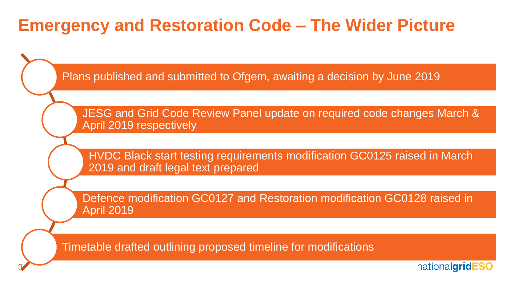## **Emergency and Restoration Code – The Wider Picture**

Plans published and submitted to Ofgem, awaiting a decision by June 2019

JESG and Grid Code Review Panel update on required code changes March & April 2019 respectively

HVDC Black start testing requirements modification GC0125 raised in March 2019 and draft legal text prepared

Defence modification GC0127 and Restoration modification GC0128 raised in April 2019

Timetable drafted outlining proposed timeline for modifications

3

nationalgridESC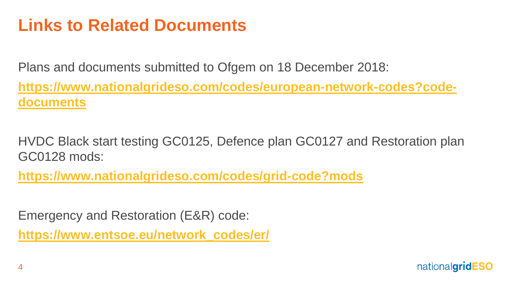# **Links to Related Documents**

Plans and documents submitted to Ofgem on 18 December 2018: **[https://www.nationalgrideso.com/codes/european-network-codes?code](https://www.nationalgrideso.com/codes/european-network-codes?code-documents)documents**

HVDC Black start testing GC0125, Defence plan GC0127 and Restoration plan GC0128 mods:

**<https://www.nationalgrideso.com/codes/grid-code?mods>**

Emergency and Restoration (E&R) code:

**[https://www.entsoe.eu/network\\_codes/er/](https://www.entsoe.eu/network_codes/er/)**

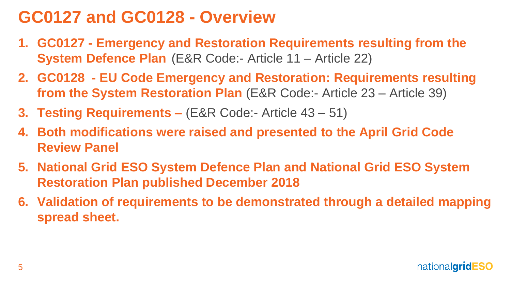# **GC0127 and GC0128 - Overview**

- **1. GC0127 - Emergency and Restoration Requirements resulting from the System Defence Plan** (E&R Code:- Article 11 – Article 22)
- **2. GC0128 - EU Code Emergency and Restoration: Requirements resulting from the System Restoration Plan** (E&R Code:- Article 23 – Article 39)
- **3. Testing Requirements –** (E&R Code:- Article 43 51)
- **4. Both modifications were raised and presented to the April Grid Code Review Panel**
- **5. National Grid ESO System Defence Plan and National Grid ESO System Restoration Plan published December 2018**
- **6. Validation of requirements to be demonstrated through a detailed mapping spread sheet.**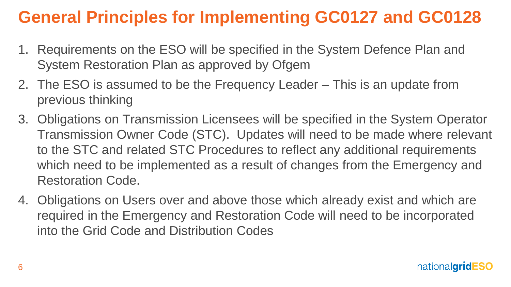# **General Principles for Implementing GC0127 and GC0128**

- 1. Requirements on the ESO will be specified in the System Defence Plan and System Restoration Plan as approved by Ofgem
- 2. The ESO is assumed to be the Frequency Leader This is an update from previous thinking
- 3. Obligations on Transmission Licensees will be specified in the System Operator Transmission Owner Code (STC). Updates will need to be made where relevant to the STC and related STC Procedures to reflect any additional requirements which need to be implemented as a result of changes from the Emergency and Restoration Code.
- 4. Obligations on Users over and above those which already exist and which are required in the Emergency and Restoration Code will need to be incorporated into the Grid Code and Distribution Codes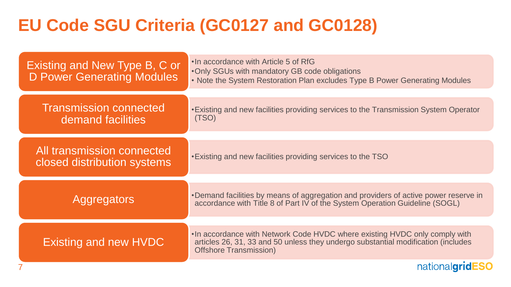# **EU Code SGU Criteria (GC0127 and GC0128)**

| Existing and New Type B, C or<br><b>D Power Generating Modules</b> | . In accordance with Article 5 of RfG<br>. Only SGUs with mandatory GB code obligations<br>. Note the System Restoration Plan excludes Type B Power Generating Modules                           |
|--------------------------------------------------------------------|--------------------------------------------------------------------------------------------------------------------------------------------------------------------------------------------------|
| <b>Transmission connected</b><br>demand facilities                 | • Existing and new facilities providing services to the Transmission System Operator<br>(TSO)                                                                                                    |
| All transmission connected<br>closed distribution systems          | . Existing and new facilities providing services to the TSO                                                                                                                                      |
| Aggregators                                                        | •Demand facilities by means of aggregation and providers of active power reserve in<br>accordance with Title 8 of Part IV of the System Operation Guideline (SOGL)                               |
| Existing and new HVDC                                              | •In accordance with Network Code HVDC where existing HVDC only comply with<br>articles 26, 31, 33 and 50 unless they undergo substantial modification (includes<br><b>Offshore Transmission)</b> |
|                                                                    | nationalgrid                                                                                                                                                                                     |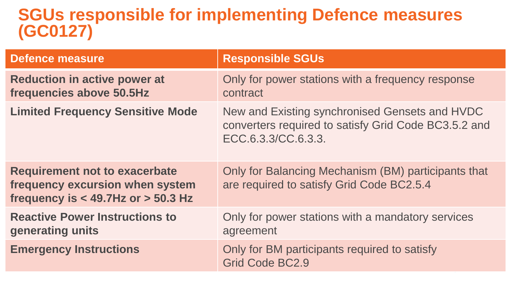### **SGUs responsible for implementing Defence measures (GC0127)**

| <b>Defence measure</b>                                                                                            | <b>Responsible SGUs</b>                                                                                                       |
|-------------------------------------------------------------------------------------------------------------------|-------------------------------------------------------------------------------------------------------------------------------|
| <b>Reduction in active power at</b><br>frequencies above 50.5Hz                                                   | Only for power stations with a frequency response<br>contract                                                                 |
| <b>Limited Frequency Sensitive Mode</b>                                                                           | New and Existing synchronised Gensets and HVDC<br>converters required to satisfy Grid Code BC3.5.2 and<br>ECC.6.3.3/CC.6.3.3. |
| <b>Requirement not to exacerbate</b><br>frequency excursion when system<br>frequency is $<$ 49.7Hz or $>$ 50.3 Hz | Only for Balancing Mechanism (BM) participants that<br>are required to satisfy Grid Code BC2.5.4                              |
| <b>Reactive Power Instructions to</b><br>generating units                                                         | Only for power stations with a mandatory services<br>agreement                                                                |
| <b>Emergency Instructions</b>                                                                                     | Only for BM participants required to satisfy<br>Grid Code BC2.9                                                               |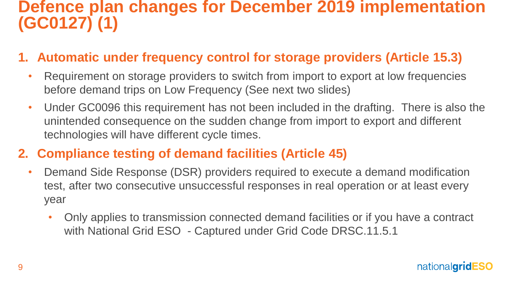### **Defence plan changes for December 2019 implementation (GC0127) (1)**

#### **1. Automatic under frequency control for storage providers (Article 15.3)**

- Requirement on storage providers to switch from import to export at low frequencies before demand trips on Low Frequency (See next two slides)
- Under GC0096 this requirement has not been included in the drafting. There is also the unintended consequence on the sudden change from import to export and different technologies will have different cycle times.

#### **2. Compliance testing of demand facilities (Article 45)**

- Demand Side Response (DSR) providers required to execute a demand modification test, after two consecutive unsuccessful responses in real operation or at least every year
	- Only applies to transmission connected demand facilities or if you have a contract with National Grid ESO - Captured under Grid Code DRSC.11.5.1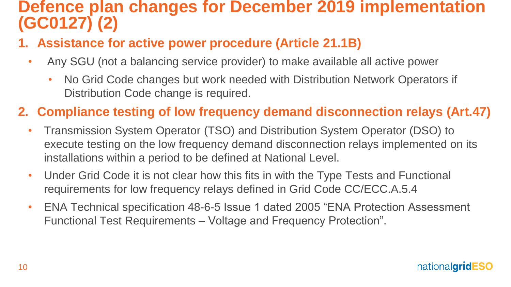### **Defence plan changes for December 2019 implementation (GC0127) (2)**

- **1. Assistance for active power procedure (Article 21.1B)**
	- Any SGU (not a balancing service provider) to make available all active power
		- No Grid Code changes but work needed with Distribution Network Operators if Distribution Code change is required.

#### **2. Compliance testing of low frequency demand disconnection relays (Art.47)**

- Transmission System Operator (TSO) and Distribution System Operator (DSO) to execute testing on the low frequency demand disconnection relays implemented on its installations within a period to be defined at National Level.
- Under Grid Code it is not clear how this fits in with the Type Tests and Functional requirements for low frequency relays defined in Grid Code CC/ECC.A.5.4
- ENA Technical specification 48-6-5 Issue 1 dated 2005 "ENA Protection Assessment Functional Test Requirements – Voltage and Frequency Protection".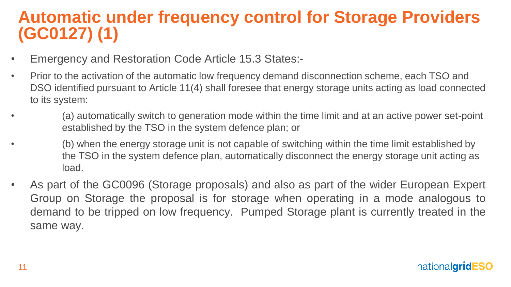## **Automatic under frequency control for Storage Providers (GC0127) (1)**

- Emergency and Restoration Code Article 15.3 States:-
- Prior to the activation of the automatic low frequency demand disconnection scheme, each TSO and DSO identified pursuant to Article 11(4) shall foresee that energy storage units acting as load connected to its system:
	- (a) automatically switch to generation mode within the time limit and at an active power set-point established by the TSO in the system defence plan; or
	- (b) when the energy storage unit is not capable of switching within the time limit established by the TSO in the system defence plan, automatically disconnect the energy storage unit acting as load.
- As part of the GC0096 (Storage proposals) and also as part of the wider European Expert Group on Storage the proposal is for storage when operating in a mode analogous to demand to be tripped on low frequency. Pumped Storage plant is currently treated in the same way.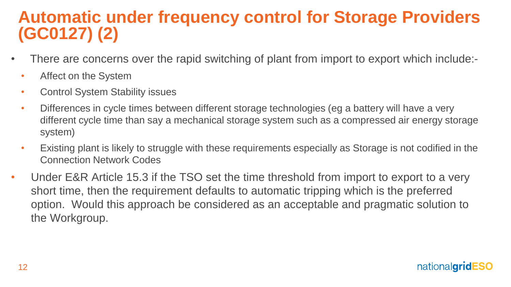## **Automatic under frequency control for Storage Providers (GC0127) (2)**

- There are concerns over the rapid switching of plant from import to export which include:-
	- Affect on the System
	- Control System Stability issues
	- Differences in cycle times between different storage technologies (eg a battery will have a very different cycle time than say a mechanical storage system such as a compressed air energy storage system)
	- Existing plant is likely to struggle with these requirements especially as Storage is not codified in the Connection Network Codes
- Under E&R Article 15.3 if the TSO set the time threshold from import to export to a very short time, then the requirement defaults to automatic tripping which is the preferred option. Would this approach be considered as an acceptable and pragmatic solution to the Workgroup.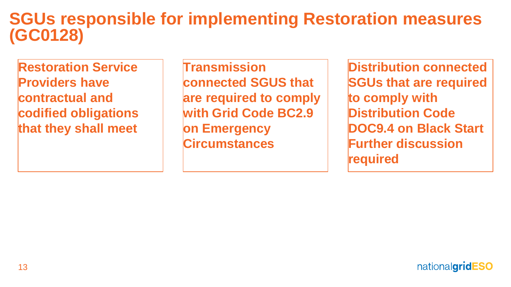### **SGUs responsible for implementing Restoration measures (GC0128)**

**Restoration Service Providers have contractual and codified obligations that they shall meet**

**Transmission connected SGUS that are required to comply with Grid Code BC2.9 on Emergency Circumstances**

**Distribution connected SGUs that are required to comply with Distribution Code DOC9.4 on Black Start Further discussion required**

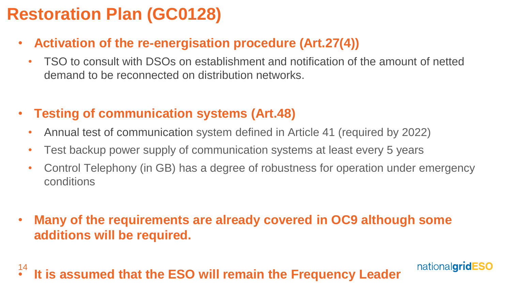# **Restoration Plan (GC0128)**

- **Activation of the re-energisation procedure (Art.27(4))**
	- TSO to consult with DSOs on establishment and notification of the amount of netted demand to be reconnected on distribution networks.
- **Testing of communication systems (Art.48)**
	- Annual test of communication system defined in Article 41 (required by 2022)
	- Test backup power supply of communication systems at least every 5 years
	- Control Telephony (in GB) has a degree of robustness for operation under emergency conditions

nationalgridESO

• **Many of the requirements are already covered in OC9 although some additions will be required.**

14 • **It is assumed that the ESO will remain the Frequency Leader**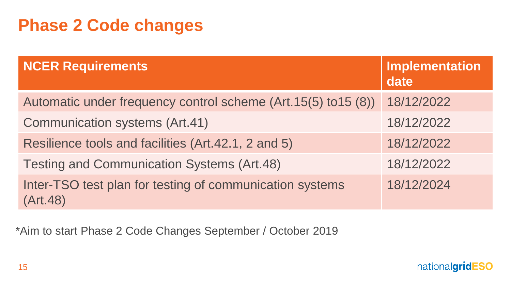# **Phase 2 Code changes**

| <b>NCER Requirements</b>                                             | Implementation<br>date |
|----------------------------------------------------------------------|------------------------|
| Automatic under frequency control scheme (Art. 15(5) to 15 (8))      | 18/12/2022             |
| <b>Communication systems (Art.41)</b>                                | 18/12/2022             |
| Resilience tools and facilities (Art.42.1, 2 and 5)                  | 18/12/2022             |
| <b>Testing and Communication Systems (Art.48)</b>                    | 18/12/2022             |
| Inter-TSO test plan for testing of communication systems<br>(Art.48) | 18/12/2024             |

\*Aim to start Phase 2 Code Changes September / October 2019